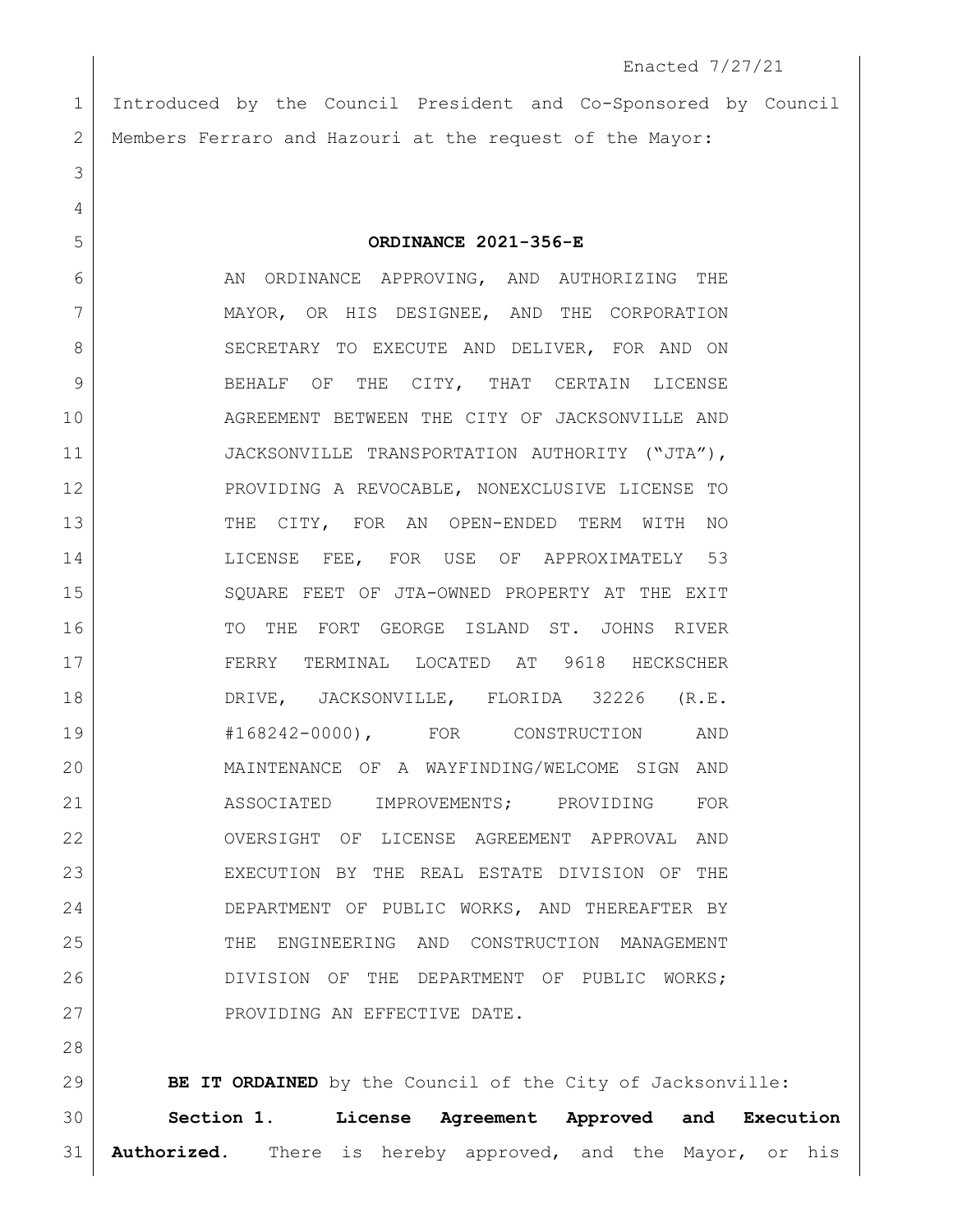Enacted 7/27/21 Introduced by the Council President and Co-Sponsored by Council Members Ferraro and Hazouri at the request of the Mayor: **ORDINANCE 2021-356-E** 6 AN ORDINANCE APPROVING, AND AUTHORIZING THE MAYOR, OR HIS DESIGNEE, AND THE CORPORATION 8 SECRETARY TO EXECUTE AND DELIVER, FOR AND ON 9 BEHALF OF THE CITY, THAT CERTAIN LICENSE AGREEMENT BETWEEN THE CITY OF JACKSONVILLE AND 11 JACKSONVILLE TRANSPORTATION AUTHORITY ("JTA"), 12 PROVIDING A REVOCABLE, NONEXCLUSIVE LICENSE TO 13 THE CITY, FOR AN OPEN-ENDED TERM WITH NO 14 LICENSE FEE, FOR USE OF APPROXIMATELY 53 SQUARE FEET OF JTA-OWNED PROPERTY AT THE EXIT TO THE FORT GEORGE ISLAND ST. JOHNS RIVER FERRY TERMINAL LOCATED AT 9618 HECKSCHER DRIVE, JACKSONVILLE, FLORIDA 32226 (R.E. #168242-0000), FOR CONSTRUCTION AND MAINTENANCE OF A WAYFINDING/WELCOME SIGN AND 21 ASSOCIATED IMPROVEMENTS; PROVIDING FOR OVERSIGHT OF LICENSE AGREEMENT APPROVAL AND EXECUTION BY THE REAL ESTATE DIVISION OF THE DEPARTMENT OF PUBLIC WORKS, AND THEREAFTER BY THE ENGINEERING AND CONSTRUCTION MANAGEMENT DIVISION OF THE DEPARTMENT OF PUBLIC WORKS; 27 PROVIDING AN EFFECTIVE DATE.

 **BE IT ORDAINED** by the Council of the City of Jacksonville: **Section 1. License Agreement Approved and Execution Authorized.** There is hereby approved, and the Mayor, or his